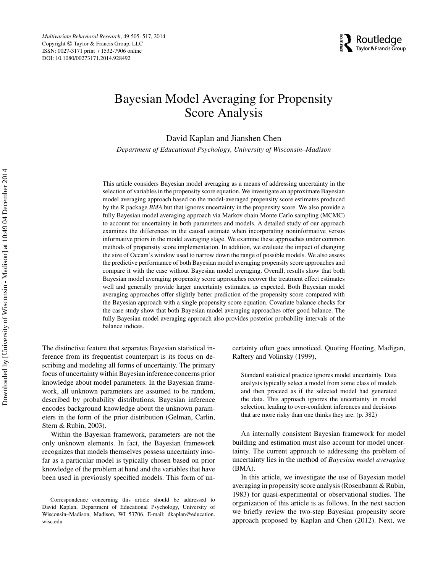

# Bayesian Model Averaging for Propensity Score Analysis

David Kaplan and Jianshen Chen

*Department of Educational Psychology, University of Wisconsin–Madison*

This article considers Bayesian model averaging as a means of addressing uncertainty in the selection of variables in the propensity score equation. We investigate an approximate Bayesian model averaging approach based on the model-averaged propensity score estimates produced by the R package *BMA* but that ignores uncertainty in the propensity score. We also provide a fully Bayesian model averaging approach via Markov chain Monte Carlo sampling (MCMC) to account for uncertainty in both parameters and models. A detailed study of our approach examines the differences in the causal estimate when incorporating noninformative versus informative priors in the model averaging stage. We examine these approaches under common methods of propensity score implementation. In addition, we evaluate the impact of changing the size of Occam's window used to narrow down the range of possible models. We also assess the predictive performance of both Bayesian model averaging propensity score approaches and compare it with the case without Bayesian model averaging. Overall, results show that both Bayesian model averaging propensity score approaches recover the treatment effect estimates well and generally provide larger uncertainty estimates, as expected. Both Bayesian model averaging approaches offer slightly better prediction of the propensity score compared with the Bayesian approach with a single propensity score equation. Covariate balance checks for the case study show that both Bayesian model averaging approaches offer good balance. The fully Bayesian model averaging approach also provides posterior probability intervals of the balance indices.

The distinctive feature that separates Bayesian statistical inference from its frequentist counterpart is its focus on describing and modeling all forms of uncertainty. The primary focus of uncertainty within Bayesian inference concerns prior knowledge about model parameters. In the Bayesian framework, all unknown parameters are assumed to be random, described by probability distributions. Bayesian inference encodes background knowledge about the unknown parameters in the form of the prior distribution (Gelman, Carlin, Stern & Rubin, 2003).

Within the Bayesian framework, parameters are not the only unknown elements. In fact, the Bayesian framework recognizes that models themselves possess uncertainty insofar as a particular model is typically chosen based on prior knowledge of the problem at hand and the variables that have been used in previously specified models. This form of uncertainty often goes unnoticed. Quoting Hoeting, Madigan, Raftery and Volinsky (1999),

Standard statistical practice ignores model uncertainty. Data analysts typically select a model from some class of models and then proceed as if the selected model had generated the data. This approach ignores the uncertainty in model selection, leading to over-confident inferences and decisions that are more risky than one thinks they are. (p. 382)

An internally consistent Bayesian framework for model building and estimation must also account for model uncertainty. The current approach to addressing the problem of uncertainty lies in the method of *Bayesian model averaging* (BMA).

In this article, we investigate the use of Bayesian model averaging in propensity score analysis (Rosenbaum & Rubin, 1983) for quasi-experimental or observational studies. The organization of this article is as follows. In the next section we briefly review the two-step Bayesian propensity score approach proposed by Kaplan and Chen (2012). Next, we

Correspondence concerning this article should be addressed to David Kaplan, Department of Educational Psychology, University of Wisconsin–Madison, Madison, WI 53706. E-mail: dkaplan@education. wisc.edu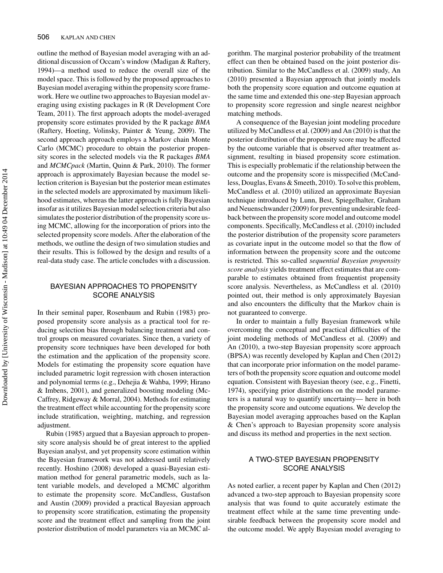outline the method of Bayesian model averaging with an additional discussion of Occam's window (Madigan & Raftery, 1994)—a method used to reduce the overall size of the model space. This is followed by the proposed approaches to Bayesian model averaging within the propensity score framework. Here we outline two approaches to Bayesian model averaging using existing packages in R (R Development Core Team, 2011). The first approach adopts the model-averaged propensity score estimates provided by the R package *BMA* (Raftery, Hoeting, Volinsky, Painter & Yeung, 2009). The second approach approach employs a Markov chain Monte Carlo (MCMC) procedure to obtain the posterior propensity scores in the selected models via the R packages *BMA* and *MCMCpack* (Martin, Quinn & Park, 2010). The former approach is approximately Bayesian because the model selection criterion is Bayesian but the posterior mean estimates in the selected models are approximated by maximum likelihood estimates, whereas the latter approach is fully Bayesian insofar as it utilizes Bayesian model selection criteria but also simulates the posterior distribution of the propensity score using MCMC, allowing for the incorporation of priors into the selected propensity score models. After the elaboration of the methods, we outline the design of two simulation studies and their results. This is followed by the design and results of a real-data study case. The article concludes with a discussion.

# BAYESIAN APPROACHES TO PROPENSITY SCORE ANALYSIS

In their seminal paper, Rosenbaum and Rubin (1983) proposed propensity score analysis as a practical tool for reducing selection bias through balancing treatment and control groups on measured covariates. Since then, a variety of propensity score techniques have been developed for both the estimation and the application of the propensity score. Models for estimating the propensity score equation have included parametric logit regression with chosen interaction and polynomial terms (e.g., Dehejia & Wahba, 1999; Hirano & Imbens, 2001), and generalized boosting modeling (Mc-Caffrey, Ridgeway & Morral, 2004). Methods for estimating the treatment effect while accounting for the propensity score include stratification, weighting, matching, and regression adjustment.

Rubin (1985) argued that a Bayesian approach to propensity score analysis should be of great interest to the applied Bayesian analyst, and yet propensity score estimation within the Bayesian framework was not addressed until relatively recently. Hoshino (2008) developed a quasi-Bayesian estimation method for general parametric models, such as latent variable models, and developed a MCMC algorithm to estimate the propensity score. McCandless, Gustafson and Austin (2009) provided a practical Bayesian approach to propensity score stratification, estimating the propensity score and the treatment effect and sampling from the joint posterior distribution of model parameters via an MCMC algorithm. The marginal posterior probability of the treatment effect can then be obtained based on the joint posterior distribution. Similar to the McCandless et al. (2009) study, An (2010) presented a Bayesian approach that jointly models both the propensity score equation and outcome equation at the same time and extended this one-step Bayesian approach to propensity score regression and single nearest neighbor matching methods.

A consequence of the Bayesian joint modeling procedure utilized by McCandless et al. (2009) and An (2010) is that the posterior distribution of the propensity score may be affected by the outcome variable that is observed after treatment assignment, resulting in biased propensity score estimation. This is especially problematic if the relationship between the outcome and the propensity score is misspecified (McCandless, Douglas, Evans & Smeeth, 2010). To solve this problem, McCandless et al. (2010) utilized an approximate Bayesian technique introduced by Lunn, Best, Spiegelhalter, Graham and Neuenschwander (2009) for preventing undesirable feedback between the propensity score model and outcome model components. Specifically, McCandless et al. (2010) included the posterior distribution of the propensity score parameters as covariate input in the outcome model so that the flow of information between the propensity score and the outcome is restricted. This so-called *sequential Bayesian propensity score analysis* yields treatment effect estimates that are comparable to estimates obtained from frequentist propensity score analysis. Nevertheless, as McCandless et al. (2010) pointed out, their method is only approximately Bayesian and also encounters the difficulty that the Markov chain is not guaranteed to converge.

In order to maintain a fully Bayesian framework while overcoming the conceptual and practical difficulties of the joint modeling methods of McCandless et al. (2009) and An (2010), a two-step Bayesian propensity score approach (BPSA) was recently developed by Kaplan and Chen (2012) that can incorporate prior information on the model parameters of both the propensity score equation and outcome model equation. Consistent with Bayesian theory (see, e.g., Finetti, 1974), specifying prior distributions on the model parameters is a natural way to quantify uncertainty— here in both the propensity score and outcome equations. We develop the Bayesian model averaging approaches based on the Kaplan & Chen's approach to Bayesian propensity score analysis and discuss its method and properties in the next section.

# A TWO-STEP BAYESIAN PROPENSITY SCORE ANALYSIS

As noted earlier, a recent paper by Kaplan and Chen (2012) advanced a two-step approach to Bayesian propensity score analysis that was found to quite accurately estimate the treatment effect while at the same time preventing undesirable feedback between the propensity score model and the outcome model. We apply Bayesian model averaging to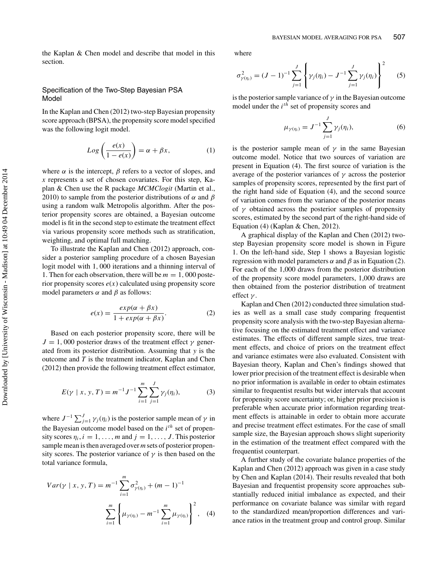the Kaplan & Chen model and describe that model in this section.

# Specification of the Two-Step Bayesian PSA Model

In the Kaplan and Chen (2012) two-step Bayesian propensity score approach (BPSA), the propensity score model specified was the following logit model.

$$
Log\left(\frac{e(x)}{1 - e(x)}\right) = \alpha + \beta x,\tag{1}
$$

where  $\alpha$  is the intercept,  $\beta$  refers to a vector of slopes, and *x* represents a set of chosen covariates. For this step, Kaplan & Chen use the R package *MCMClogit* (Martin et al., 2010) to sample from the posterior distributions of *α* and *β* using a random walk Metropolis algorithm. After the posterior propensity scores are obtained, a Bayesian outcome model is fit in the second step to estimate the treatment effect via various propensity score methods such as stratification, weighting, and optimal full matching.

To illustrate the Kaplan and Chen (2012) approach, consider a posterior sampling procedure of a chosen Bayesian logit model with 1*,* 000 iterations and a thinning interval of 1. Then for each observation, there will be  $m = 1,000$  posterior propensity scores *e*(*x*) calculated using propensity score model parameters  $\alpha$  and  $\beta$  as follows:

$$
e(x) = \frac{\exp(\alpha + \beta x)}{1 + \exp(\alpha + \beta x)}.
$$
 (2)

Based on each posterior propensity score, there will be  $J = 1,000$  posterior draws of the treatment effect  $\gamma$  generated from its posterior distribution. Assuming that *y* is the outcome and *T* is the treatment indicator, Kaplan and Chen (2012) then provide the following treatment effect estimator,

$$
E(\gamma \mid x, y, T) = m^{-1} J^{-1} \sum_{i=1}^{m} \sum_{j=1}^{J} \gamma_j(\eta_i),
$$
 (3)

where  $J^{-1} \sum_{j=1}^{J} \gamma_j(\eta_i)$  is the posterior sample mean of  $\gamma$  in the Bayesian outcome model based on the *ith* set of propensity scores  $\eta_i$ ,  $i = 1, \ldots, m$  and  $j = 1, \ldots, J$ . This posterior sample mean is then averaged over *m* sets of posterior propensity scores. The posterior variance of  $\gamma$  is then based on the total variance formula,

$$
Var(\gamma \mid x, y, T) = m^{-1} \sum_{i=1}^{m} \sigma_{\gamma(\eta_i)}^2 + (m - 1)^{-1}
$$

$$
\sum_{i=1}^{m} \left\{ \mu_{\gamma(\eta_i)} - m^{-1} \sum_{i=1}^{m} \mu_{\gamma(\eta_i)} \right\}^2, \quad (4)
$$

where

$$
\sigma_{\gamma(\eta_i)}^2 = (J-1)^{-1} \sum_{j=1}^J \left\{ \gamma_j(\eta_i) - J^{-1} \sum_{j=1}^J \gamma_j(\eta_i) \right\}^2 \tag{5}
$$

is the posterior sample variance of  $\gamma$  in the Bayesian outcome model under the *ith* set of propensity scores and

$$
\mu_{\gamma(\eta_i)} = J^{-1} \sum_{j=1}^{J} \gamma_j(\eta_i), \tag{6}
$$

is the posterior sample mean of  $\gamma$  in the same Bayesian outcome model. Notice that two sources of variation are present in Equation (4). The first source of variation is the average of the posterior variances of *γ* across the posterior samples of propensity scores, represented by the first part of the right hand side of Equation (4), and the second source of variation comes from the variance of the posterior means of *γ* obtained across the posterior samples of propensity scores, estimated by the second part of the right-hand side of Equation (4) (Kaplan & Chen, 2012).

A graphical display of the Kaplan and Chen (2012) twostep Bayesian propensity score model is shown in Figure 1. On the left-hand side, Step 1 shows a Bayesian logistic regression with model parameters *α* and *β* as in Equation (2). For each of the 1,000 draws from the posterior distribution of the propensity score model parameters, 1,000 draws are then obtained from the posterior distribution of treatment effect *γ* .

Kaplan and Chen (2012) conducted three simulation studies as well as a small case study comparing frequentist propensity score analysis with the two-step Bayesian alternative focusing on the estimated treatment effect and variance estimates. The effects of different sample sizes, true treatment effects, and choice of priors on the treatment effect and variance estimates were also evaluated. Consistent with Bayesian theory, Kaplan and Chen's findings showed that lower prior precision of the treatment effect is desirable when no prior information is available in order to obtain estimates similar to frequentist results but wider intervals that account for propensity score uncertainty; or, higher prior precision is preferable when accurate prior information regarding treatment effects is attainable in order to obtain more accurate and precise treatment effect estimates. For the case of small sample size, the Bayesian approach shows slight superiority in the estimation of the treatment effect compared with the frequentist counterpart.

A further study of the covariate balance properties of the Kaplan and Chen (2012) approach was given in a case study by Chen and Kaplan (2014). Their results revealed that both Bayesian and frequentist propensity score approaches substantially reduced initial imbalance as expected, and their performance on covariate balance was similar with regard to the standardized mean/proportion differences and variance ratios in the treatment group and control group. Similar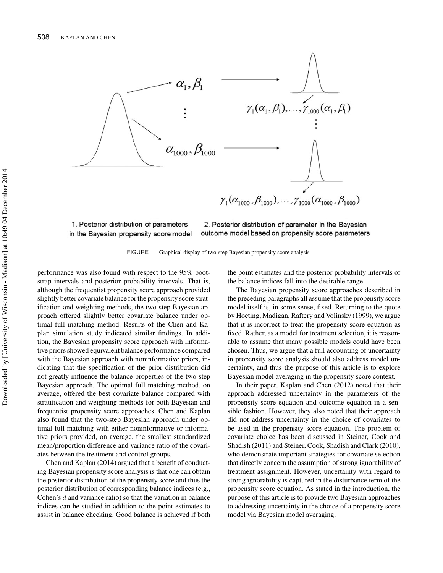

# 1. Posterior distribution of parameters in the Bayesian propensity score model

2. Posterior distribution of parameter in the Bayesian outcome model based on propensity score parameters

FIGURE 1 Graphical display of two-step Bayesian propensity score analysis.

performance was also found with respect to the 95% bootstrap intervals and posterior probability intervals. That is, although the frequentist propensity score approach provided slightly better covariate balance for the propensity score stratification and weighting methods, the two-step Bayesian approach offered slightly better covariate balance under optimal full matching method. Results of the Chen and Kaplan simulation study indicated similar findings. In addition, the Bayesian propensity score approach with informative priors showed equivalent balance performance compared with the Bayesian approach with noninformative priors, indicating that the specification of the prior distribution did not greatly influence the balance properties of the two-step Bayesian approach. The optimal full matching method, on average, offered the best covariate balance compared with stratification and weighting methods for both Bayesian and frequentist propensity score approaches. Chen and Kaplan also found that the two-step Bayesian approach under optimal full matching with either noninformative or informative priors provided, on average, the smallest standardized mean/proportion difference and variance ratio of the covariates between the treatment and control groups.

Chen and Kaplan (2014) argued that a benefit of conducting Bayesian propensity score analysis is that one can obtain the posterior distribution of the propensity score and thus the posterior distribution of corresponding balance indices (e.g., Cohen's *d* and variance ratio) so that the variation in balance indices can be studied in addition to the point estimates to assist in balance checking. Good balance is achieved if both the point estimates and the posterior probability intervals of the balance indices fall into the desirable range.

The Bayesian propensity score approaches described in the preceding paragraphs all assume that the propensity score model itself is, in some sense, fixed. Returning to the quote by Hoeting, Madigan, Raftery and Volinsky (1999), we argue that it is incorrect to treat the propensity score equation as fixed. Rather, as a model for treatment selection, it is reasonable to assume that many possible models could have been chosen. Thus, we argue that a full accounting of uncertainty in propensity score analysis should also address model uncertainty, and thus the purpose of this article is to explore Bayesian model averaging in the propensity score context.

In their paper, Kaplan and Chen (2012) noted that their approach addressed uncertainty in the parameters of the propensity score equation and outcome equation in a sensible fashion. However, they also noted that their approach did not address uncertainty in the choice of covariates to be used in the propensity score equation. The problem of covariate choice has been discussed in Steiner, Cook and Shadish (2011) and Steiner, Cook, Shadish and Clark (2010), who demonstrate important strategies for covariate selection that directly concern the assumption of strong ignorability of treatment assignment. However, uncertainty with regard to strong ignorability is captured in the disturbance term of the propensity score equation. As stated in the introduction, the purpose of this article is to provide two Bayesian approaches to addressing uncertainty in the choice of a propensity score model via Bayesian model averaging.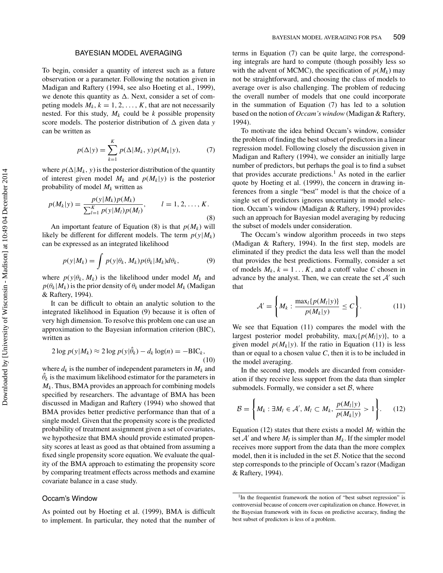#### BAYESIAN MODEL AVERAGING

To begin, consider a quantity of interest such as a future observation or a parameter. Following the notation given in Madigan and Raftery (1994, see also Hoeting et al., 1999), we denote this quantity as  $\Delta$ . Next, consider a set of competing models  $M_k$ ,  $k = 1, 2, ..., K$ , that are not necessarily nested. For this study,  $M_k$  could be  $k$  possible propensity score models. The posterior distribution of  $\Delta$  given data *y* can be written as

$$
p(\Delta|y) = \sum_{k=1}^{K} p(\Delta|M_k, y)p(M_k|y), \tag{7}
$$

where  $p(\Delta|M_k, y)$  is the posterior distribution of the quantity of interest given model  $M_k$  and  $p(M_k|y)$  is the posterior probability of model  $M_k$  written as

$$
p(M_k|y) = \frac{p(y|M_k)p(M_k)}{\sum_{l=1}^{K} p(y|M_l)p(M_l)}, \qquad l = 1, 2, ..., K.
$$
\n(8)

An important feature of Equation (8) is that  $p(M_k)$  will likely be different for different models. The term  $p(y|M_k)$ can be expressed as an integrated likelihood

$$
p(y|M_k) = \int p(y|\theta_k, M_k) p(\theta_k|M_k) d\theta_k, \tag{9}
$$

where  $p(y|\theta_k, M_k)$  is the likelihood under model  $M_k$  and  $p(\theta_k|M_k)$  is the prior density of  $\theta_k$  under model  $M_k$  (Madigan & Raftery, 1994).

It can be difficult to obtain an analytic solution to the integrated likelihood in Equation (9) because it is often of very high dimension. To resolve this problem one can use an approximation to the Bayesian information criterion (BIC), written as

$$
2\log p(y|M_k) \approx 2\log p(y|\hat{\theta}_k) - d_k \log(n) = -BIC_k,
$$
\n(10)

where  $d_k$  is the number of independent parameters in  $M_k$  and  $\hat{\theta}_k$  is the maximum likelihood estimator for the parameters in *Mk*. Thus, BMA provides an approach for combining models specified by researchers. The advantage of BMA has been discussed in Madigan and Raftery (1994) who showed that BMA provides better predictive performance than that of a single model. Given that the propensity score is the predicted probability of treatment assignment given a set of covariates, we hypothesize that BMA should provide estimated propensity scores at least as good as that obtained from assuming a fixed single propensity score equation. We evaluate the quality of the BMA approach to estimating the propensity score by comparing treatment effects across methods and examine covariate balance in a case study.

#### Occam's Window

As pointed out by Hoeting et al. (1999), BMA is difficult to implement. In particular, they noted that the number of

terms in Equation (7) can be quite large, the corresponding integrals are hard to compute (though possibly less so with the advent of MCMC), the specification of  $p(M_k)$  may not be straightforward, and choosing the class of models to average over is also challenging. The problem of reducing the overall number of models that one could incorporate in the summation of Equation (7) has led to a solution based on the notion of *Occam's window* (Madigan & Raftery, 1994).

To motivate the idea behind Occam's window, consider the problem of finding the best subset of predictors in a linear regression model. Following closely the discussion given in Madigan and Raftery (1994), we consider an initially large number of predictors, but perhaps the goal is to find a subset that provides accurate predictions.<sup>1</sup> As noted in the earlier quote by Hoeting et al. (1999), the concern in drawing inferences from a single "best" model is that the choice of a single set of predictors ignores uncertainty in model selection. Occam's window (Madigan & Raftery, 1994) provides such an approach for Bayesian model averaging by reducing the subset of models under consideration.

The Occam's window algorithm proceeds in two steps (Madigan & Raftery, 1994). In the first step, models are eliminated if they predict the data less well than the model that provides the best predictions. Formally, consider a set of models  $M_k$ ,  $k = 1...K$ , and a cutoff value C chosen in advance by the analyst. Then, we can create the set  $A'$  such that

$$
\mathcal{A}' = \left\{ M_k : \frac{\max_l \{ p(M_l|y) \}}{p(M_k|y)} \le C \right\}.
$$
 (11)

We see that Equation (11) compares the model with the largest posterior model probability,  $\max_l {p(M_l|y)}$ , to a given model  $p(M_k|y)$ . If the ratio in Equation (11) is less than or equal to a chosen value  $C$ , then it is to be included in the model averaging.

In the second step, models are discarded from consideration if they receive less support from the data than simpler submodels. Formally, we consider a set *B*, where

$$
\mathcal{B} = \left\{ M_k : \exists M_l \in \mathcal{A}', M_l \subset M_k, \, \frac{p(M_l|y)}{p(M_k|y)} > 1 \right\}. \tag{12}
$$

Equation (12) states that there exists a model  $M_l$  within the set  $A'$  and where  $M_l$  is simpler than  $M_k$ . If the simpler model receives more support from the data than the more complex model, then it is included in the set *B*. Notice that the second step corresponds to the principle of Occam's razor (Madigan & Raftery, 1994).

<sup>&</sup>lt;sup>1</sup>In the frequentist framework the notion of "best subset regression" is controversial because of concern over capitalization on chance. However, in the Bayesian framework with its focus on predictive accuracy, finding the best subset of predictors is less of a problem.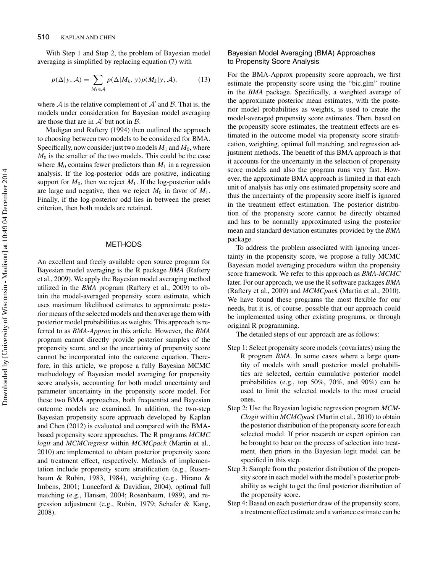With Step 1 and Step 2, the problem of Bayesian model averaging is simplified by replacing equation (7) with

$$
p(\Delta|y, \mathcal{A}) = \sum_{M_k \in \mathcal{A}} p(\Delta|M_k, y)p(M_k|y, \mathcal{A}), \tag{13}
$$

where  $A$  is the relative complement of  $A'$  and  $B$ . That is, the models under consideration for Bayesian model averaging are those that are in  $A'$  but not in  $B$ .

Madigan and Raftery (1994) then outlined the approach to choosing between two models to be considered for BMA. Specifically, now consider just two models  $M_1$  and  $M_0$ , where  $M<sub>0</sub>$  is the smaller of the two models. This could be the case where  $M_0$  contains fewer predictors than  $M_1$  in a regression analysis. If the log-posterior odds are positive, indicating support for  $M_0$ , then we reject  $M_1$ . If the log-posterior odds are large and negative, then we reject  $M_0$  in favor of  $M_1$ . Finally, if the log-posterior odd lies in between the preset criterion, then both models are retained.

### METHODS

An excellent and freely available open source program for Bayesian model averaging is the R package *BMA* (Raftery et al., 2009). We apply the Bayesian model averaging method utilized in the *BMA* program (Raftery et al., 2009) to obtain the model-averaged propensity score estimate, which uses maximum likelihood estimates to approximate posterior means of the selected models and then average them with posterior model probabilities as weights. This approach is referred to as *BMA-Approx* in this article. However, the *BMA* program cannot directly provide posterior samples of the propensity score, and so the uncertainty of propensity score cannot be incorporated into the outcome equation. Therefore, in this article, we propose a fully Bayesian MCMC methodology of Bayesian model averaging for propensity score analysis, accounting for both model uncertainty and parameter uncertainty in the propensity score model. For these two BMA approaches, both frequentist and Bayesian outcome models are examined. In addition, the two-step Bayesian propensity score approach developed by Kaplan and Chen (2012) is evaluated and compared with the BMAbased propensity score approaches. The R programs *MCMC logit* and *MCMCregress* within *MCMCpack* (Martin et al., 2010) are implemented to obtain posterior propensity score and treatment effect, respectively. Methods of implementation include propensity score stratification (e.g., Rosenbaum & Rubin, 1983, 1984), weighting (e.g., Hirano & Imbens, 2001; Lunceford & Davidian, 2004), optimal full matching (e.g., Hansen, 2004; Rosenbaum, 1989), and regression adjustment (e.g., Rubin, 1979; Schafer & Kang, 2008).

# Bayesian Model Averaging (BMA) Approaches to Propensity Score Analysis

For the BMA-Approx propensity score approach, we first estimate the propensity score using the "bic.glm" routine in the *BMA* package. Specifically, a weighted average of the approximate posterior mean estimates, with the posterior model probabilities as weights, is used to create the model-averaged propensity score estimates. Then, based on the propensity score estimates, the treatment effects are estimated in the outcome model via propensity score stratification, weighting, optimal full matching, and regression adjustment methods. The benefit of this BMA approach is that it accounts for the uncertainty in the selection of propensity score models and also the program runs very fast. However, the approximate BMA approach is limited in that each unit of analysis has only one estimated propensity score and thus the uncertainty of the propensity score itself is ignored in the treatment effect estimation. The posterior distribution of the propensity score cannot be directly obtained and has to be normally approximated using the posterior mean and standard deviation estimates provided by the *BMA* package.

To address the problem associated with ignoring uncertainty in the propensity score, we propose a fully MCMC Bayesian model averaging procedure within the propensity score framework. We refer to this approach as *BMA-MCMC* later. For our approach, we use the R software packages *BMA* (Raftery et al., 2009) and *MCMCpack* (Martin et al., 2010). We have found these programs the most flexible for our needs, but it is, of course, possible that our approach could be implemented using other existing programs, or through original R programming.

The detailed steps of our approach are as follows:

- Step 1: Select propensity score models (covariates) using the R program *BMA*. In some cases where a large quantity of models with small posterior model probabilities are selected, certain cumulative posterior model probabilities (e.g., top 50%, 70%, and 90%) can be used to limit the selected models to the most crucial ones.
- Step 2: Use the Bayesian logistic regression program *MCM-Clogit* within *MCMCpack* (Martin et al., 2010) to obtain the posterior distribution of the propensity score for each selected model. If prior research or expert opinion can be brought to bear on the process of selection into treatment, then priors in the Bayesian logit model can be specified in this step.
- Step 3: Sample from the posterior distribution of the propensity score in each model with the model's posterior probability as weight to get the final posterior distribution of the propensity score.
- Step 4: Based on each posterior draw of the propensity score, a treatment effect estimate and a variance estimate can be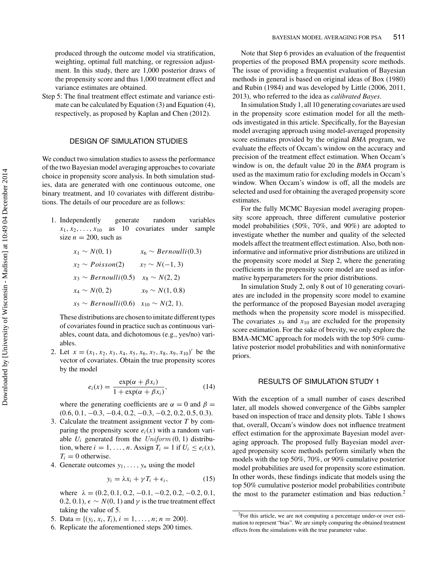produced through the outcome model via stratification, weighting, optimal full matching, or regression adjustment. In this study, there are 1,000 posterior draws of the propensity score and thus 1,000 treatment effect and variance estimates are obtained.

Step 5: The final treatment effect estimate and variance estimate can be calculated by Equation (3) and Equation (4), respectively, as proposed by Kaplan and Chen (2012).

## DESIGN OF SIMULATION STUDIES

We conduct two simulation studies to assess the performance of the two Bayesian model averaging approaches to covariate choice in propensity score analysis. In both simulation studies, data are generated with one continuous outcome, one binary treatment, and 10 covariates with different distributions. The details of our procedure are as follows:

1. Independently generate random variables  $x_1, x_2, \ldots, x_{10}$  as 10 covariates under sample size  $n = 200$ , such as

| $x_1 \sim N(0, 1)$                                | $x_6 \sim Bernoulli(0.3)$ |
|---------------------------------------------------|---------------------------|
| $x_2 \sim Poisson(2)$                             | $x_7 \sim N(-1, 3)$       |
| $x_3 \sim Bernoulli(0.5)$ $x_8 \sim N(2, 2)$      |                           |
| $x_4 \sim N(0, 2)$                                | $x_9 \sim N(1, 0.8)$      |
| $x_5 \sim Bernoulli(0.6)$ $x_{10} \sim N(2, 1)$ . |                           |

These distributions are chosen to imitate different types of covariates found in practice such as continuous variables, count data, and dichotomous (e.g., yes/no) variables.

2. Let  $x = (x_1, x_2, x_3, x_4, x_5, x_6, x_7, x_8, x_9, x_{10})'$  be the vector of covariates. Obtain the true propensity scores by the model

$$
e_i(x) = \frac{\exp(\alpha + \beta x_i)}{1 + \exp(\alpha + \beta x_i)},
$$
(14)

where the generating coefficients are  $\alpha = 0$  and  $\beta =$ (0*.*6*,* 0*.*1*,* −0*.*3*,* −0*.*4*,* 0*.*2*,* −0*.*3*,* −0*.*2*,* 0*.*2*,* 0*.*5*,* 0*.*3).

- 3. Calculate the treatment assignment vector *T* by comparing the propensity score  $e_i(x)$  with a random variable *Ui* generated from the *Uniform* (0*,* 1) distribution, where  $i = 1, \ldots, n$ . Assign  $T_i = 1$  if  $U_i \le e_i(x)$ ,  $T_i = 0$  otherwise.
- 4. Generate outcomes  $y_1, \ldots, y_n$  using the model

$$
y_i = \lambda x_i + \gamma T_i + \epsilon_i, \qquad (15)
$$

where *λ* = (0*.*2*,* 0*.*1*,* 0*.*2*,* −0*.*1*,* −0*.*2*,* 0*.*2*,* −0*.*2*,* 0*.*1,  $(0.2, 0.1)$ ,  $\epsilon \sim N(0, 1)$  and  $\gamma$  is the true treatment effect taking the value of 5.

- 5. Data =  $\{(y_i, x_i, T_i), i = 1, \ldots, n; n = 200\}.$
- 6. Replicate the aforementioned steps 200 times.

Note that Step 6 provides an evaluation of the frequentist properties of the proposed BMA propensity score methods. The issue of providing a frequentist evaluation of Bayesian methods in general is based on original ideas of Box (1980) and Rubin (1984) and was developed by Little (2006, 2011, 2013), who referred to the idea as *calibrated Bayes*.

In simulation Study 1, all 10 generating covariates are used in the propensity score estimation model for all the methods investigated in this article. Specifically, for the Bayesian model averaging approach using model-averaged propensity score estimates provided by the original *BMA* program, we evaluate the effects of Occam's window on the accuracy and precision of the treatment effect estimation. When Occam's window is on, the default value 20 in the *BMA* program is used as the maximum ratio for excluding models in Occam's window. When Occam's window is off, all the models are selected and used for obtaining the averaged propensity score estimates.

For the fully MCMC Bayesian model averaging propensity score approach, three different cumulative posterior model probabilities (50%, 70%, and 90%) are adopted to investigate whether the number and quality of the selected models affect the treatment effect estimation. Also, both noninformative and informative prior distributions are utilized in the propensity score model at Step 2, where the generating coefficients in the propensity score model are used as informative hyperparameters for the prior distributions.

In simulation Study 2, only 8 out of 10 generating covariates are included in the propensity score model to examine the performance of the proposed Bayesian model averaging methods when the propensity score model is misspecified. The covariates  $x_9$  and  $x_{10}$  are excluded for the propensity score estimation. For the sake of brevity, we only explore the BMA-MCMC approach for models with the top 50% cumulative posterior model probabilities and with noninformative priors.

## RESULTS OF SIMULATION STUDY 1

With the exception of a small number of cases described later, all models showed convergence of the Gibbs sampler based on inspection of trace and density plots. Table 1 shows that, overall, Occam's window does not influence treatment effect estimation for the approximate Bayesian model averaging approach. The proposed fully Bayesian model averaged propensity score methods perform similarly when the models with the top 50%, 70%, or 90% cumulative posterior model probabilities are used for propensity score estimation. In other words, these findings indicate that models using the top 50% cumulative posterior model probabilities contribute the most to the parameter estimation and bias reduction.<sup>2</sup>

<sup>2</sup>For this article, we are not computing a percentage under-or over estimation to represent "bias". We are simply comparing the obtained treatment effects from the simulations with the true parameter value.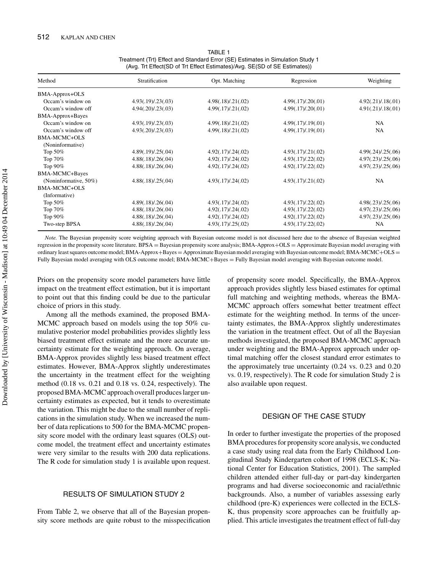| BMA-Approx+OLS<br>Occam's window on | 4.93(.19)/.23(.03) | 4.98(.18)/.21(.02) |                    |                    |
|-------------------------------------|--------------------|--------------------|--------------------|--------------------|
|                                     |                    |                    |                    |                    |
|                                     |                    |                    | 4.99(.17)/.20(.01) | 4.92(.21)/.18(.01) |
| Occam's window off                  | 4.94(.20)/.23(.03) | 4.99(.17)/.21(.02) | 4.99(.17)/.20(.01) | 4.91(.21)/.18(.01) |
| BMA-Approx+Bayes                    |                    |                    |                    |                    |
| Occam's window on                   | 4.93(.19)/.23(.03) | 4.99(.18)/.21(.02) | 4.99(.17)/.19(.01) | NA.                |
| Occam's window off                  | 4.93(.20)/.23(.03) | 4.99(.18)/.21(.02) | 4.99(.17)/.19(.01) | NA                 |
| <b>BMA-MCMC+OLS</b>                 |                    |                    |                    |                    |
| (Noninformative)                    |                    |                    |                    |                    |
| Top $50\%$                          | 4.89(.19)/.25(.04) | 4.92(.17)/.24(.02) | 4.93(.17)/.21(.02) | 4.99(.24)/.25(.06) |
| Top $70\%$                          | 4.88(.18)/.26(.04) | 4.92(.17)/.24(.02) | 4.93(.17)/.22(.02) | 4.97(.23)/.25(.06) |
| Top $90\%$                          | 4.88(.18)/.26(.04) | 4.92(.17)/.24(.02) | 4.92(.17)/.22(.02) | 4.97(.23)/.25(.06) |
| BMA-MCMC+Bayes                      |                    |                    |                    |                    |
| (Noninformative, 50%)               | 4.88(.18)/.25(.04) | 4.93(.17)/.24(.02) | 4.93(.17)/.21(.02) | NA                 |
| <b>BMA-MCMC+OLS</b>                 |                    |                    |                    |                    |
| (Informative)                       |                    |                    |                    |                    |
| Top $50\%$                          | 4.89(.18)/.26(.04) | 4.93(.17)/.24(.02) | 4.93(.17)/.22(.02) | 4.98(.23)/.25(.06) |
| Top 70%                             | 4.88(.18)/.26(.04) | 4.92(.17)/.24(.02) | 4.93(.17)/.22(.02) | 4.97(.23)/.25(.06) |
| Top $90\%$                          | 4.88(.18)/.26(.04) | 4.92(.17)/.24(.02) | 4.92(.17)/.22(.02) | 4.97(.23)/.25(.06) |
| Two-step BPSA                       | 4.88(.18)/.26(.04) | 4.93(.17)/.25(.02) | 4.93(.17)/.22(.02) | NA                 |

TABLE 1 Treatment (Trt) Effect and Standard Error (SE) Estimates in Simulation Study 1 (Avg. Trt Effect(SD of Trt Effect Estimates)/Avg. SE(SD of SE Estimates))

*Note.* The Bayesian propensity score weighting approach with Bayesian outcome model is not discussed here due to the absence of Bayesian weighted regression in the propensity score literature. BPSA = Bayesian propensity score analysis; BMA-Approx+OLS = Approximate Bayesian model averaging with ordinary least squares outcome model; BMA-Approx+Bayes = Approximate Bayesian model averaging with Bayesian outcome model; BMA-MCMC+OLS = Fully Bayesian model averaging with OLS outcome model; BMA-MCMC+Bayes = Fully Bayesian model averaging with Bayesian outcome model.

Priors on the propensity score model parameters have little impact on the treatment effect estimation, but it is important to point out that this finding could be due to the particular choice of priors in this study.

Among all the methods examined, the proposed BMA-MCMC approach based on models using the top 50% cumulative posterior model probabilities provides slightly less biased treatment effect estimate and the more accurate uncertainty estimate for the weighting approach. On average, BMA-Approx provides slightly less biased treatment effect estimates. However, BMA-Approx slightly underestimates the uncertainty in the treatment effect for the weighting method (0.18 vs. 0.21 and 0.18 vs. 0.24, respectively). The proposed BMA-MCMC approach overall produces larger uncertainty estimates as expected, but it tends to overestimate the variation. This might be due to the small number of replications in the simulation study. When we increased the number of data replications to 500 for the BMA-MCMC propensity score model with the ordinary least squares (OLS) outcome model, the treatment effect and uncertainty estimates were very similar to the results with 200 data replications. The R code for simulation study 1 is available upon request.

## RESULTS OF SIMULATION STUDY 2

From Table 2, we observe that all of the Bayesian propensity score methods are quite robust to the misspecification of propensity score model. Specifically, the BMA-Approx approach provides slightly less biased estimates for optimal full matching and weighting methods, whereas the BMA-MCMC approach offers somewhat better treatment effect estimate for the weighting method. In terms of the uncertainty estimates, the BMA-Approx slightly underestimates the variation in the treatment effect. Out of all the Bayesian methods investigated, the proposed BMA-MCMC approach under weighting and the BMA-Approx approach under optimal matching offer the closest standard error estimates to the approximately true uncertainty (0.24 vs. 0.23 and 0.20 vs. 0.19, respectively). The R code for simulation Study 2 is also available upon request.

#### DESIGN OF THE CASE STUDY

In order to further investigate the properties of the proposed BMA procedures for propensity score analysis, we conducted a case study using real data from the Early Childhood Longitudinal Study Kindergarten cohort of 1998 (ECLS-K; National Center for Education Statistics, 2001). The sampled children attended either full-day or part-day kindergarten programs and had diverse socioeconomic and racial/ethnic backgrounds. Also, a number of variables assessing early childhood (pre-K) experiences were collected in the ECLS-K, thus propensity score approaches can be fruitfully applied. This article investigates the treatment effect of full-day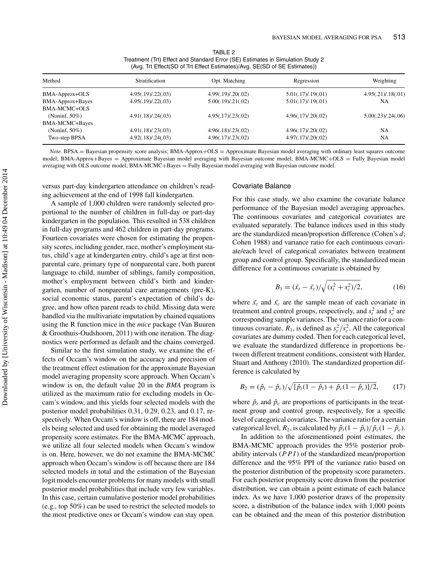| TABLE 2                                                                        |
|--------------------------------------------------------------------------------|
| Treatment (Trt) Effect and Standard Error (SE) Estimates in Simulation Study 2 |
| (Avg. Trt Effect(SD of Trt Effect Estimates)/Avg. SE(SD of SE Estimates))      |

| Method            | Stratification     | Opt. Matching      | Regression         | Weighting          |
|-------------------|--------------------|--------------------|--------------------|--------------------|
| BMA-Approx+OLS    | 4.95(.19)/.22(.03) | 4.99(.19)/.20(.02) | 5.01(.17)/.19(.01) | 4.95(.21)/.18(.01) |
| BMA-Approx+Bayes  | 4.95(.19)/.22(.03) | 5.00(.19)/.21(.02) | 5.01(.17)/.19(.01) | NA                 |
| BMA-MCMC+OLS      |                    |                    |                    |                    |
| (Noninf, $50\%$ ) | 4.91(.18)/.24(.03) | 4.95(.17)/.23(.02) | 4.96(.17)/.20(.02) | 5.00(.23)/.24(.06) |
| BMA-MCMC+Bayes    |                    |                    |                    |                    |
| (Noninf, $50\%$ ) | 4.91(.18)/.23(.03) | 4.96(.18)/.23(.02) | 4.96(.17)/.20(.02) | NA                 |
| Two-step BPSA     | 4.92(.18)/.24(.03) | 4.96(.17)/.23(.02) | 4.97(.17)/.20(.02) | NA                 |

*Note.* BPSA = Bayesian propensity score analysis; BMA-Approx+OLS = Approximate Bayesian model averaging with ordinary least squares outcome model; BMA-Approx+Bayes = Approximate Bayesian model averaging with Bayesian outcome model; BMA-MCMC+OLS = Fully Bayesian model averaging with OLS outcome model; BMA-MCMC+Bayes = Fully Bayesian model averaging with Bayesian outcome model.

versus part-day kindergarten attendance on children's reading achievement at the end of 1998 fall kindergarten.

A sample of 1,000 children were randomly selected proportional to the number of children in full-day or part-day kindergarten in the population. This resulted in 538 children in full-day programs and 462 children in part-day programs. Fourteen covariates were chosen for estimating the propensity scores, including gender, race, mother's employment status, child's age at kindergarten entry, child's age at first nonparental care, primary type of nonparental care, both parent language to child, number of siblings, family composition, mother's employment between child's birth and kindergarten, number of nonparental care arrangements (pre-K), social economic status, parent's expectation of child's degree, and how often parent reads to child. Missing data were handled via the multivariate imputation by chained equations using the R function mice in the *mice* package (Van Buuren & Groothuis-Oudshoorn, 2011) with one iteration. The diagnostics were performed as default and the chains converged.

Similar to the first simulation study, we examine the effects of Occam's window on the accuracy and precision of the treatment effect estimation for the approximate Bayesian model averaging propensity score approach. When Occam's window is on, the default value 20 in the *BMA* program is utilized as the maximum ratio for excluding models in Occam's window, and this yields four selected models with the posterior model probabilities 0.31, 0.29, 0.23, and 0.17, respectively. When Occam's window is off, there are 184 models being selected and used for obtaining the model averaged propensity score estimates. For the BMA-MCMC approach, we utilize all four selected models when Occam's window is on. Here, however, we do not examine the BMA-MCMC approach when Occam's window is off because there are 184 selected models in total and the estimation of the Bayesian logit models encounter problems for many models with small posterior model probabilities that include very few variables. In this case, certain cumulative posterior model probabilities (e.g., top 50%) can be used to restrict the selected models to the most predictive ones or Occam's window can stay open.

#### Covariate Balance

For this case study, we also examine the covariate balance performance of the Bayesian model averaging approaches. The continuous covariates and categorical covariates are evaluated separately. The balance indices used in this study are the standardized mean/proportion difference (Cohen's *d*; Cohen 1988) and variance ratio for each continuous covariate/each level of categorical covariates between treatment group and control group. Specifically, the standardized mean difference for a continuous covariate is obtained by

$$
B_1 = (\bar{x}_t - \bar{x}_c) / \sqrt{(s_t^2 + s_c^2)/2},\tag{16}
$$

where  $\bar{x}_t$  and  $\bar{x}_c$  are the sample mean of each covariate in treatment and control groups, respectively, and  $s_t^2$  and  $s_c^2$  are corresponding sample variances. The variance ratio for a continuous covariate,  $R_1$ , is defined as  $s_t^2/s_c^2$ . All the categorical covariates are dummy coded. Then for each categorical level, we evaluate the standardized difference in proportions between different treatment conditions, consistent with Harder, Stuart and Anthony (2010). The standardized proportion difference is calculated by

$$
B_2 = (\hat{p}_t - \hat{p}_c) / \sqrt{[\hat{p}_t(1 - \hat{p}_t) + \hat{p}_c(1 - \hat{p}_c)]/2},\qquad(17)
$$

where  $\hat{p}_t$  and  $\hat{p}_c$  are proportions of participants in the treatment group and control group, respectively, for a specific level of categorical covariates. The variance ratio for a certain categorical level,  $R_2$ , is calculated by  $\hat{p}_t(1 - \hat{p}_t)/\hat{p}_c(1 - \hat{p}_c)$ .

In addition to the aforementioned point estimates, the BMA-MCMC approach provides the 95% posterior probability intervals (*PPI* ) of the standardized mean/proportion difference and the 95% PPI of the variance ratio based on the posterior distribution of the propensity score parameters. For each posterior propensity score drawn from the posterior distribution, we can obtain a point estimate of each balance index. As we have 1,000 posterior draws of the propensity score, a distribution of the balance index with 1,000 points can be obtained and the mean of this posterior distribution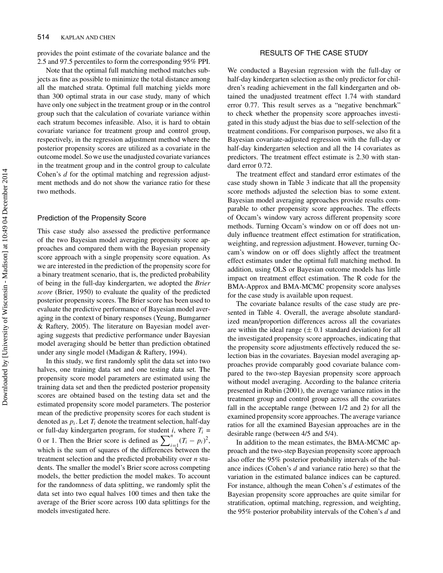provides the point estimate of the covariate balance and the 2.5 and 97.5 percentiles to form the corresponding 95% PPI.

Note that the optimal full matching method matches subjects as fine as possible to minimize the total distance among all the matched strata. Optimal full matching yields more than 300 optimal strata in our case study, many of which have only one subject in the treatment group or in the control group such that the calculation of covariate variance within each stratum becomes infeasible. Also, it is hard to obtain covariate variance for treatment group and control group, respectively, in the regression adjustment method where the posterior propensity scores are utilized as a covariate in the outcome model. So we use the unadjusted covariate variances in the treatment group and in the control group to calculate Cohen's *d* for the optimal matching and regression adjustment methods and do not show the variance ratio for these two methods.

### Prediction of the Propensity Score

This case study also assessed the predictive performance of the two Bayesian model averaging propensity score approaches and compared them with the Bayesian propensity score approach with a single propensity score equation. As we are interested in the prediction of the propensity score for a binary treatment scenario, that is, the predicted probability of being in the full-day kindergarten, we adopted the *Brier score* (Brier, 1950) to evaluate the quality of the predicted posterior propensity scores. The Brier score has been used to evaluate the predictive performance of Bayesian model averaging in the context of binary responses (Yeung, Bumgarner & Raftery, 2005). The literature on Bayesian model averaging suggests that predictive performance under Bayesian model averaging should be better than prediction obtatined under any single model (Madigan & Raftery, 1994).

In this study, we first randomly split the data set into two halves, one training data set and one testing data set. The propensity score model parameters are estimated using the training data set and then the predicted posterior propensity scores are obtained based on the testing data set and the estimated propensity score model parameters. The posterior mean of the predictive propensity scores for each student is denoted as  $p_i$ . Let  $T_i$  denote the treatment selection, half-day or full-day kindergarten program, for student  $i$ , where  $T_i$  = 0 or 1. Then the Brier score is defined as  $\sum_{i=1}^{n} (T_i - p_i)^2$ , which is the sum of squares of the differences between the treatment selection and the predicted probability over *n* students. The smaller the model's Brier score across competing models, the better prediction the model makes. To account for the randomness of data splitting, we randomly split the data set into two equal halves 100 times and then take the average of the Brier score across 100 data splittings for the models investigated here.

## RESULTS OF THE CASE STUDY

We conducted a Bayesian regression with the full-day or half-day kindergarten selection as the only predictor for children's reading achievement in the fall kindergarten and obtained the unadjusted treatment effect 1.74 with standard error 0.77. This result serves as a "negative benchmark" to check whether the propensity score approaches investigated in this study adjust the bias due to self-selection of the treatment conditions. For comparison purposes, we also fit a Bayesian covariate-adjusted regression with the full-day or half-day kindergarten selection and all the 14 covariates as predictors. The treatment effect estimate is 2.30 with standard error 0.72.

The treatment effect and standard error estimates of the case study shown in Table 3 indicate that all the propensity score methods adjusted the selection bias to some extent. Bayesian model averaging approaches provide results comparable to other propensity score approaches. The effects of Occam's window vary across different propensity score methods. Turning Occam's window on or off does not unduly influence treatment effect estimation for stratification, weighting, and regression adjustment. However, turning Occam's window on or off does slightly affect the treatment effect estimates under the optimal full matching method. In addition, using OLS or Bayesian outcome models has little impact on treatment effect estimation. The R code for the BMA-Approx and BMA-MCMC propensity score analyses for the case study is available upon request.

The covariate balance results of the case study are presented in Table 4. Overall, the average absolute standardized mean/proportion differences across all the covariates are within the ideal range  $(\pm 0.1)$  standard deviation) for all the investigated propensity score approaches, indicating that the propensity score adjustments effectively reduced the selection bias in the covariates. Bayesian model averaging approaches provide comparably good covariate balance compared to the two-step Bayesian propensity score approach without model averaging. According to the balance criteria presented in Rubin (2001), the average variance ratios in the treatment group and control group across all the covariates fall in the acceptable range (between 1/2 and 2) for all the examined propensity score approaches. The average variance ratios for all the examined Bayesian approaches are in the desirable range (between 4/5 and 5/4).

In addition to the mean estimates, the BMA-MCMC approach and the two-step Bayesian propensity score approach also offer the 95% posterior probability intervals of the balance indices (Cohen's *d* and variance ratio here) so that the variation in the estimated balance indices can be captured. For instance, although the mean Cohen's *d* estimates of the Bayesian propensity score approaches are quite similar for stratification, optimal matching, regression, and weighting, the 95% posterior probability intervals of the Cohen's *d* and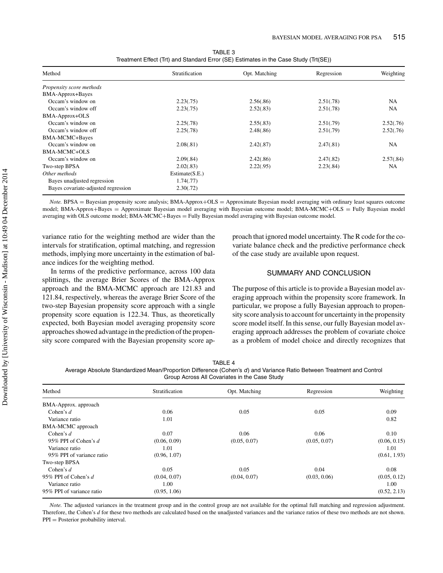| Method                              | Stratification | Opt. Matching | Regression | Weighting |  |
|-------------------------------------|----------------|---------------|------------|-----------|--|
| Propensity score methods            |                |               |            |           |  |
| BMA-Approx+Bayes                    |                |               |            |           |  |
| Occam's window on                   | 2.23(.75)      | 2.56(.86)     | 2.51(.78)  | NA.       |  |
| Occam's window off                  | 2.23(.75)      | 2.52(.83)     | 2.51(.78)  | NA        |  |
| BMA-Approx+OLS                      |                |               |            |           |  |
| Occam's window on                   | 2.25(.78)      | 2.55(.83)     | 2.51(.79)  | 2.52(.76) |  |
| Occam's window off                  | 2.25(.78)      | 2.48(.86)     | 2.51(.79)  | 2.52(.76) |  |
| BMA-MCMC+Bayes                      |                |               |            |           |  |
| Occam's window on                   | 2.08(.81)      | 2.42(.87)     | 2.47(.81)  | <b>NA</b> |  |
| BMA-MCMC+OLS                        |                |               |            |           |  |
| Occam's window on                   | 2.09(.84)      | 2.42(.86)     | 2.47(.82)  | 2.57(.84) |  |
| Two-step BPSA                       | 2.02(.83)      | 2.22(.95)     | 2.23(.84)  | NA        |  |
| Other methods                       | Estimate(S.E.) |               |            |           |  |
| Bayes unadjusted regression         | 1.74(.77)      |               |            |           |  |
| Bayes covariate-adjusted regression | 2.30(.72)      |               |            |           |  |
|                                     |                |               |            |           |  |

TABLE 3 Treatment Effect (Trt) and Standard Error (SE) Estimates in the Case Study (Trt(SE))

*Note.* BPSA = Bayesian propensity score analysis; BMA-Approx+OLS = Approximate Bayesian model averaging with ordinary least squares outcome model; BMA-Approx+Bayes = Approximate Bayesian model averaging with Bayesian outcome model; BMA-MCMC+OLS = Fully Bayesian model averaging with OLS outcome model; BMA-MCMC+Bayes = Fully Bayesian model averaging with Bayesian outcome model.

variance ratio for the weighting method are wider than the intervals for stratification, optimal matching, and regression methods, implying more uncertainty in the estimation of balance indices for the weighting method.

In terms of the predictive performance, across 100 data splittings, the average Brier Scores of the BMA-Approx approach and the BMA-MCMC approach are 121.83 and 121.84, respectively, whereas the average Brier Score of the two-step Bayesian propensity score approach with a single propensity score equation is 122.34. Thus, as theoretically expected, both Bayesian model averaging propensity score approaches showed advantage in the prediction of the propensity score compared with the Bayesian propensity score approach that ignored model uncertainty. The R code for the covariate balance check and the predictive performance check of the case study are available upon request.

#### SUMMARY AND CONCLUSION

The purpose of this article is to provide a Bayesian model averaging approach within the propensity score framework. In particular, we propose a fully Bayesian approach to propensity score analysis to account for uncertainty in the propensity score model itself. In this sense, our fully Bayesian model averaging approach addresses the problem of covariate choice as a problem of model choice and directly recognizes that

TABLE 4 Average Absolute Standardized Mean/Proportion Difference (Cohen's *d*) and Variance Ratio Between Treatment and Control Group Across All Covariates in the Case Study

| Method                    | Stratification | Opt. Matching | Regression   | Weighting    |
|---------------------------|----------------|---------------|--------------|--------------|
| BMA-Approx. approach      |                |               |              |              |
| Cohen's $d$               | 0.06           | 0.05          | 0.05         | 0.09         |
| Variance ratio            | 1.01           |               |              | 0.82         |
| BMA-MCMC approach         |                |               |              |              |
| Cohen's $d$               | 0.07           | 0.06          | 0.06         | 0.10         |
| 95% PPI of Cohen's $d$    | (0.06, 0.09)   | (0.05, 0.07)  | (0.05, 0.07) | (0.06, 0.15) |
| Variance ratio            | 1.01           |               |              | 1.01         |
| 95% PPI of variance ratio | (0.96, 1.07)   |               |              | (0.61, 1.93) |
| Two-step BPSA             |                |               |              |              |
| Cohen's $d$               | 0.05           | 0.05          | 0.04         | 0.08         |
| 95% PPI of Cohen's d      | (0.04, 0.07)   | (0.04, 0.07)  | (0.03, 0.06) | (0.05, 0.12) |
| Variance ratio            | 1.00           |               |              | 1.00         |
| 95% PPI of variance ratio | (0.95, 1.06)   |               |              | (0.52, 2.13) |

*Note.* The adjusted variances in the treatment group and in the control group are not available for the optimal full matching and regression adjustment. Therefore, the Cohen's *d* for these two methods are calculated based on the unadjusted variances and the variance ratios of these two methods are not shown. PPI = Posterior probability interval.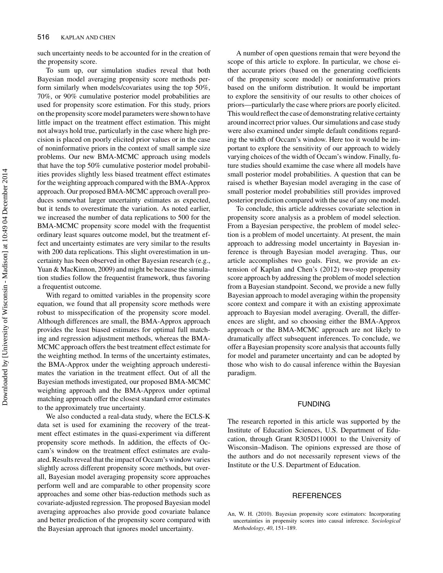such uncertainty needs to be accounted for in the creation of the propensity score.

To sum up, our simulation studies reveal that both Bayesian model averaging propensity score methods perform similarly when models/covariates using the top 50%, 70%, or 90% cumulative posterior model probabilities are used for propensity score estimation. For this study, priors on the propensity score model parameters were shown to have little impact on the treatment effect estimation. This might not always hold true, particularly in the case where high precision is placed on poorly elicited prior values or in the case of noninformative priors in the context of small sample size problems. Our new BMA-MCMC approach using models that have the top 50% cumulative posterior model probabilities provides slightly less biased treatment effect estimates for the weighting approach compared with the BMA-Approx approach. Our proposed BMA-MCMC approach overall produces somewhat larger uncertainty estimates as expected, but it tends to overestimate the variation. As noted earlier, we increased the number of data replications to 500 for the BMA-MCMC propensity score model with the frequentist ordinary least squares outcome model, but the treatment effect and uncertainty estimates are very similar to the results with 200 data replications. This slight overestimation in uncertainty has been observed in other Bayesian research (e.g., Yuan & MacKinnon, 2009) and might be because the simulation studies follow the frequentist framework, thus favoring a frequentist outcome.

With regard to omitted variables in the propensity score equation, we found that all propensity score methods were robust to misspecification of the propensity score model. Although differences are small, the BMA-Approx approach provides the least biased estimates for optimal full matching and regression adjustment methods, whereas the BMA-MCMC approach offers the best treatment effect estimate for the weighting method. In terms of the uncertainty estimates, the BMA-Approx under the weighting approach underestimates the variation in the treatment effect. Out of all the Bayesian methods investigated, our proposed BMA-MCMC weighting approach and the BMA-Approx under optimal matching approach offer the closest standard error estimates to the approximately true uncertainty.

We also conducted a real-data study, where the ECLS-K data set is used for examining the recovery of the treatment effect estimates in the quasi-experiment via different propensity score methods. In addition, the effects of Occam's window on the treatment effect estimates are evaluated. Results reveal that the impact of Occam's window varies slightly across different propensity score methods, but overall, Bayesian model averaging propensity score approaches perform well and are comparable to other propensity score approaches and some other bias-reduction methods such as covariate-adjusted regression. The proposed Bayesian model averaging approaches also provide good covariate balance and better prediction of the propensity score compared with the Bayesian approach that ignores model uncertainty.

A number of open questions remain that were beyond the scope of this article to explore. In particular, we chose either accurate priors (based on the generating coefficients of the propensity score model) or noninformative priors based on the uniform distribution. It would be important to explore the sensitivity of our results to other choices of priors—particularly the case where priors are poorly elicited. This would reflect the case of demonstrating relative certainty around incorrect prior values. Our simulations and case study were also examined under simple default conditions regarding the width of Occam's window. Here too it would be important to explore the sensitivity of our approach to widely varying choices of the width of Occam's window. Finally, future studies should examime the case where all models have small posterior model probabilities. A question that can be raised is whether Bayesian model averaging in the case of small posterior model probabilities still provides improved posterior prediction compared with the use of any one model.

To conclude, this article addresses covariate selection in propensity score analysis as a problem of model selection. From a Bayesian perspective, the problem of model selection is a problem of model uncertainty. At present, the main approach to addressing model uncertainty in Bayesian inference is through Bayesian model averaging. Thus, our article accomplishes two goals. First, we provide an extension of Kaplan and Chen's (2012) two-step propensity score approach by addressing the problem of model selection from a Bayesian standpoint. Second, we provide a new fully Bayesian approach to model averaging within the propensity score context and compare it with an existing approximate approach to Bayesian model averaging. Overall, the differences are slight, and so choosing either the BMA-Approx approach or the BMA-MCMC approach are not likely to dramatically affect subsequent inferences. To conclude, we offer a Bayesian propensity score analysis that accounts fully for model and parameter uncertainty and can be adopted by those who wish to do causal inference within the Bayesian paradigm.

## FUNDING

The research reported in this article was supported by the Institute of Education Sciences, U.S. Department of Education, through Grant R305D110001 to the University of Wisconsin–Madison. The opinions expressed are those of the authors and do not necessarily represent views of the Institute or the U.S. Department of Education.

#### **REFERENCES**

An, W. H. (2010). Bayesian propensity score estimators: Incorporating uncertainties in propensity scores into causal inference. *Sociological Methodology*, *40*, 151–189.